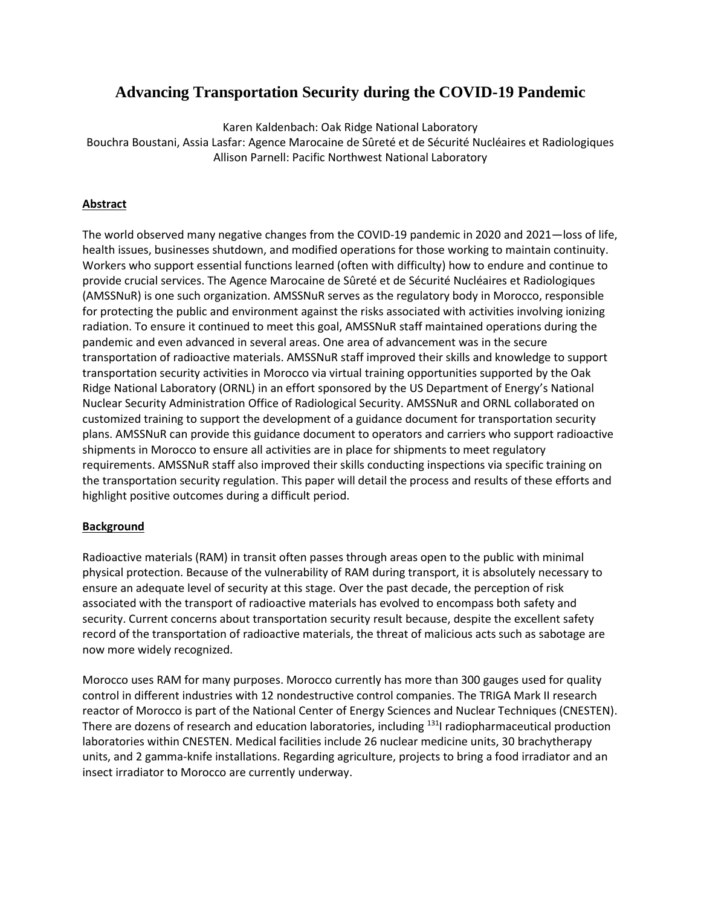## **Advancing Transportation Security during the COVID-19 Pandemic**

Karen Kaldenbach: Oak Ridge National Laboratory Bouchra Boustani, Assia Lasfar: Agence Marocaine de Sûreté et de Sécurité Nucléaires et Radiologiques Allison Parnell: Pacific Northwest National Laboratory

### **Abstract**

The world observed many negative changes from the COVID-19 pandemic in 2020 and 2021—loss of life, health issues, businesses shutdown, and modified operations for those working to maintain continuity. Workers who support essential functions learned (often with difficulty) how to endure and continue to provide crucial services. The Agence Marocaine de Sûreté et de Sécurité Nucléaires et Radiologiques (AMSSNuR) is one such organization. AMSSNuR serves as the regulatory body in Morocco, responsible for protecting the public and environment against the risks associated with activities involving ionizing radiation. To ensure it continued to meet this goal, AMSSNuR staff maintained operations during the pandemic and even advanced in several areas. One area of advancement was in the secure transportation of radioactive materials. AMSSNuR staff improved their skills and knowledge to support transportation security activities in Morocco via virtual training opportunities supported by the Oak Ridge National Laboratory (ORNL) in an effort sponsored by the US Department of Energy's National Nuclear Security Administration Office of Radiological Security. AMSSNuR and ORNL collaborated on customized training to support the development of a guidance document for transportation security plans. AMSSNuR can provide this guidance document to operators and carriers who support radioactive shipments in Morocco to ensure all activities are in place for shipments to meet regulatory requirements. AMSSNuR staff also improved their skills conducting inspections via specific training on the transportation security regulation. This paper will detail the process and results of these efforts and highlight positive outcomes during a difficult period.

### **Background**

Radioactive materials (RAM) in transit often passes through areas open to the public with minimal physical protection. Because of the vulnerability of RAM during transport, it is absolutely necessary to ensure an adequate level of security at this stage. Over the past decade, the perception of risk associated with the transport of radioactive materials has evolved to encompass both safety and security. Current concerns about transportation security result because, despite the excellent safety record of the transportation of radioactive materials, the threat of malicious acts such as sabotage are now more widely recognized.

Morocco uses RAM for many purposes. Morocco currently has more than 300 gauges used for quality control in different industries with 12 nondestructive control companies. The TRIGA Mark II research reactor of Morocco is part of the National Center of Energy Sciences and Nuclear Techniques (CNESTEN). There are dozens of research and education laboratories, including <sup>131</sup>I radiopharmaceutical production laboratories within CNESTEN. Medical facilities include 26 nuclear medicine units, 30 brachytherapy units, and 2 gamma-knife installations. Regarding agriculture, projects to bring a food irradiator and an insect irradiator to Morocco are currently underway.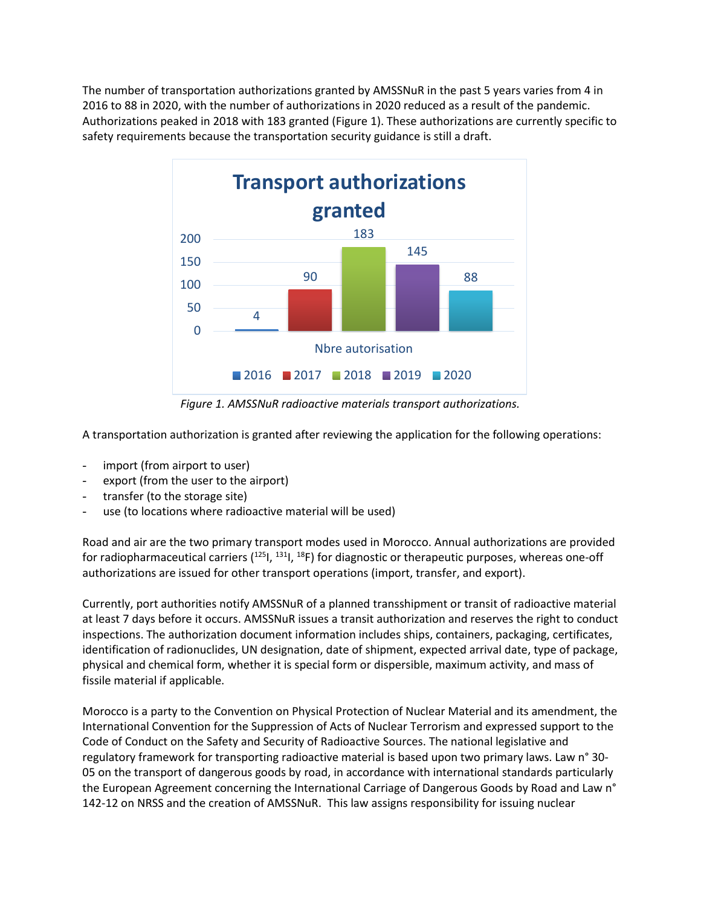The number of transportation authorizations granted by AMSSNuR in the past 5 years varies from 4 in 2016 to 88 in 2020, with the number of authorizations in 2020 reduced as a result of the pandemic. Authorizations peaked in 2018 with 183 granted (Figure 1). These authorizations are currently specific to safety requirements because the transportation security guidance is still a draft.



*Figure 1. AMSSNuR radioactive materials transport authorizations.*

A transportation authorization is granted after reviewing the application for the following operations:

- import (from airport to user)
- export (from the user to the airport)
- transfer (to the storage site)
- use (to locations where radioactive material will be used)

Road and air are the two primary transport modes used in Morocco. Annual authorizations are provided for radiopharmaceutical carriers  $(^{125}I, ^{131}I, ^{18}F)$  for diagnostic or therapeutic purposes, whereas one-off authorizations are issued for other transport operations (import, transfer, and export).

Currently, port authorities notify AMSSNuR of a planned transshipment or transit of radioactive material at least 7 days before it occurs. AMSSNuR issues a transit authorization and reserves the right to conduct inspections. The authorization document information includes ships, containers, packaging, certificates, identification of radionuclides, UN designation, date of shipment, expected arrival date, type of package, physical and chemical form, whether it is special form or dispersible, maximum activity, and mass of fissile material if applicable.

Morocco is a party to the Convention on Physical Protection of Nuclear Material and its amendment, the International Convention for the Suppression of Acts of Nuclear Terrorism and expressed support to the Code of Conduct on the Safety and Security of Radioactive Sources. The national legislative and regulatory framework for transporting radioactive material is based upon two primary laws. Law n° 30- 05 on the transport of dangerous goods by road, in accordance with international standards particularly the European Agreement concerning the International Carriage of Dangerous Goods by Road and Law n° 142-12 on NRSS and the creation of AMSSNuR. This law assigns responsibility for issuing nuclear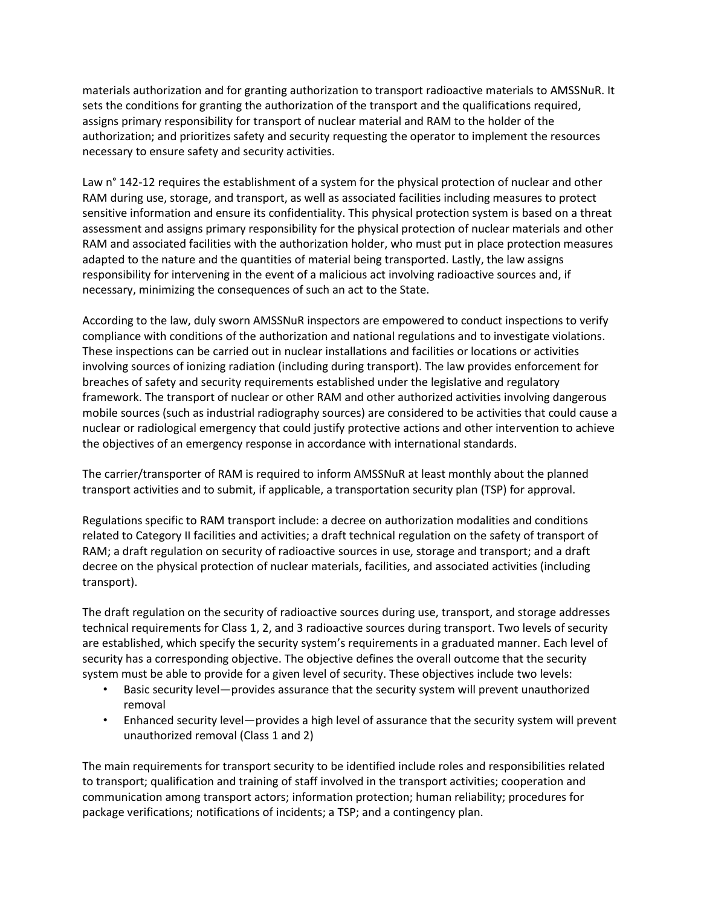materials authorization and for granting authorization to transport radioactive materials to AMSSNuR. It sets the conditions for granting the authorization of the transport and the qualifications required, assigns primary responsibility for transport of nuclear material and RAM to the holder of the authorization; and prioritizes safety and security requesting the operator to implement the resources necessary to ensure safety and security activities.

Law n° 142-12 requires the establishment of a system for the physical protection of nuclear and other RAM during use, storage, and transport, as well as associated facilities including measures to protect sensitive information and ensure its confidentiality. This physical protection system is based on a threat assessment and assigns primary responsibility for the physical protection of nuclear materials and other RAM and associated facilities with the authorization holder, who must put in place protection measures adapted to the nature and the quantities of material being transported. Lastly, the law assigns responsibility for intervening in the event of a malicious act involving radioactive sources and, if necessary, minimizing the consequences of such an act to the State.

According to the law, duly sworn AMSSNuR inspectors are empowered to conduct inspections to verify compliance with conditions of the authorization and national regulations and to investigate violations. These inspections can be carried out in nuclear installations and facilities or locations or activities involving sources of ionizing radiation (including during transport). The law provides enforcement for breaches of safety and security requirements established under the legislative and regulatory framework. The transport of nuclear or other RAM and other authorized activities involving dangerous mobile sources (such as industrial radiography sources) are considered to be activities that could cause a nuclear or radiological emergency that could justify protective actions and other intervention to achieve the objectives of an emergency response in accordance with international standards.

The carrier/transporter of RAM is required to inform AMSSNuR at least monthly about the planned transport activities and to submit, if applicable, a transportation security plan (TSP) for approval.

Regulations specific to RAM transport include: a decree on authorization modalities and conditions related to Category II facilities and activities; a draft technical regulation on the safety of transport of RAM; a draft regulation on security of radioactive sources in use, storage and transport; and a draft decree on the physical protection of nuclear materials, facilities, and associated activities (including transport).

The draft regulation on the security of radioactive sources during use, transport, and storage addresses technical requirements for Class 1, 2, and 3 radioactive sources during transport. Two levels of security are established, which specify the security system's requirements in a graduated manner. Each level of security has a corresponding objective. The objective defines the overall outcome that the security system must be able to provide for a given level of security. These objectives include two levels:

- Basic security level—provides assurance that the security system will prevent unauthorized removal
- Enhanced security level—provides a high level of assurance that the security system will prevent unauthorized removal (Class 1 and 2)

The main requirements for transport security to be identified include roles and responsibilities related to transport; qualification and training of staff involved in the transport activities; cooperation and communication among transport actors; information protection; human reliability; procedures for package verifications; notifications of incidents; a TSP; and a contingency plan.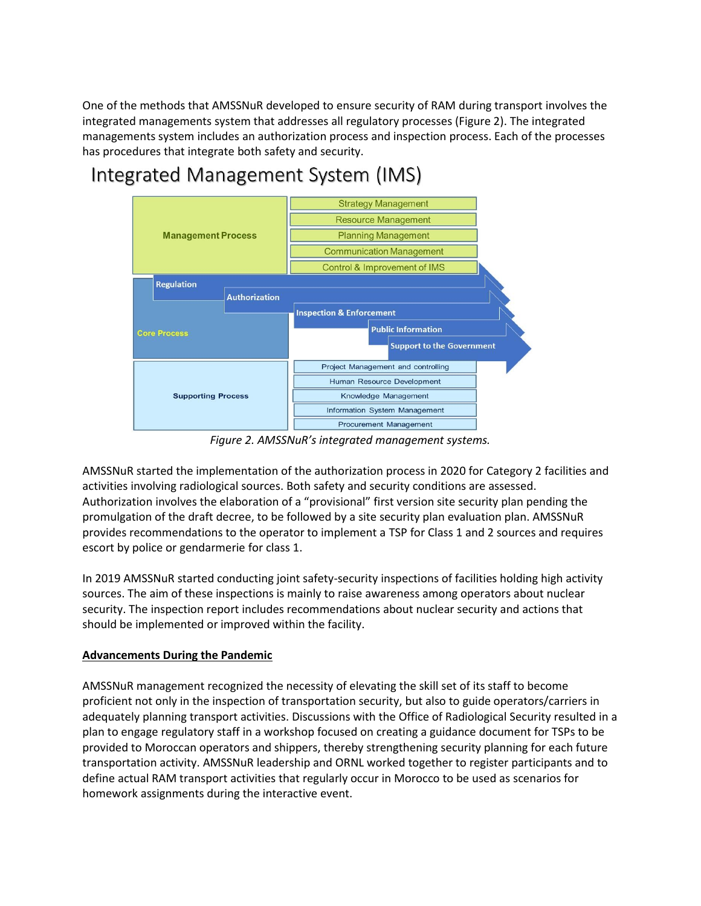One of the methods that AMSSNuR developed to ensure security of RAM during transport involves the integrated managements system that addresses all regulatory processes (Figure 2). The integrated managements system includes an authorization process and inspection process. Each of the processes has procedures that integrate both safety and security.

# Integrated Management System (IMS)



*Figure 2. AMSSNuR's integrated management systems.*

AMSSNuR started the implementation of the authorization process in 2020 for Category 2 facilities and activities involving radiological sources. Both safety and security conditions are assessed. Authorization involves the elaboration of a "provisional" first version site security plan pending the promulgation of the draft decree, to be followed by a site security plan evaluation plan. AMSSNuR provides recommendations to the operator to implement a TSP for Class 1 and 2 sources and requires escort by police or gendarmerie for class 1.

In 2019 AMSSNuR started conducting joint safety-security inspections of facilities holding high activity sources. The aim of these inspections is mainly to raise awareness among operators about nuclear security. The inspection report includes recommendations about nuclear security and actions that should be implemented or improved within the facility.

### **Advancements During the Pandemic**

AMSSNuR management recognized the necessity of elevating the skill set of its staff to become proficient not only in the inspection of transportation security, but also to guide operators/carriers in adequately planning transport activities. Discussions with the Office of Radiological Security resulted in a plan to engage regulatory staff in a workshop focused on creating a guidance document for TSPs to be provided to Moroccan operators and shippers, thereby strengthening security planning for each future transportation activity. AMSSNuR leadership and ORNL worked together to register participants and to define actual RAM transport activities that regularly occur in Morocco to be used as scenarios for homework assignments during the interactive event.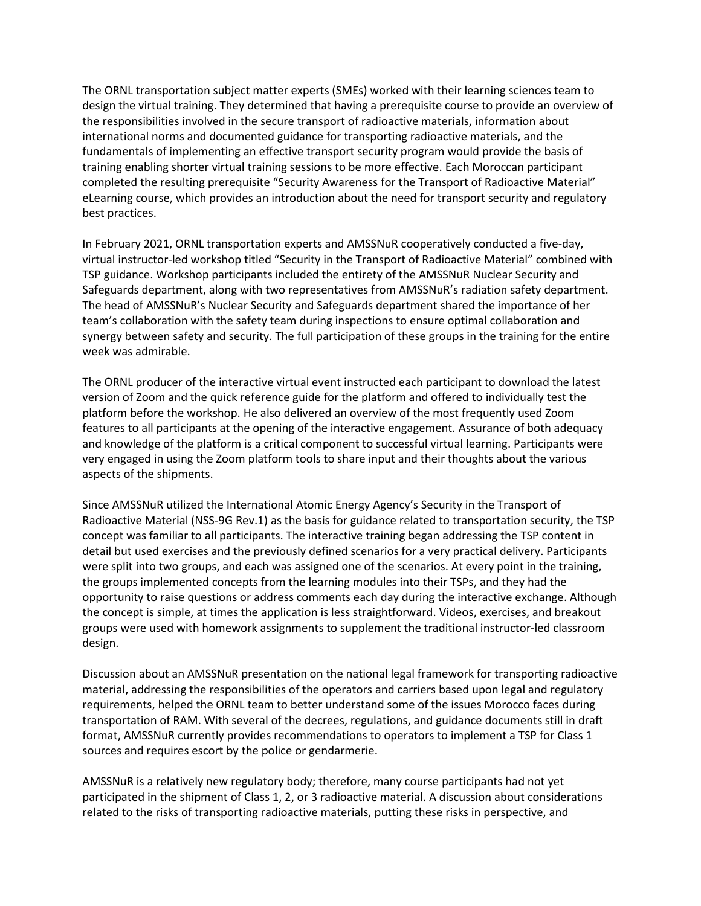The ORNL transportation subject matter experts (SMEs) worked with their learning sciences team to design the virtual training. They determined that having a prerequisite course to provide an overview of the responsibilities involved in the secure transport of radioactive materials, information about international norms and documented guidance for transporting radioactive materials, and the fundamentals of implementing an effective transport security program would provide the basis of training enabling shorter virtual training sessions to be more effective. Each Moroccan participant completed the resulting prerequisite "Security Awareness for the Transport of Radioactive Material" eLearning course, which provides an introduction about the need for transport security and regulatory best practices.

In February 2021, ORNL transportation experts and AMSSNuR cooperatively conducted a five-day, virtual instructor-led workshop titled "Security in the Transport of Radioactive Material" combined with TSP guidance. Workshop participants included the entirety of the AMSSNuR Nuclear Security and Safeguards department, along with two representatives from AMSSNuR's radiation safety department. The head of AMSSNuR's Nuclear Security and Safeguards department shared the importance of her team's collaboration with the safety team during inspections to ensure optimal collaboration and synergy between safety and security. The full participation of these groups in the training for the entire week was admirable.

The ORNL producer of the interactive virtual event instructed each participant to download the latest version of Zoom and the quick reference guide for the platform and offered to individually test the platform before the workshop. He also delivered an overview of the most frequently used Zoom features to all participants at the opening of the interactive engagement. Assurance of both adequacy and knowledge of the platform is a critical component to successful virtual learning. Participants were very engaged in using the Zoom platform tools to share input and their thoughts about the various aspects of the shipments.

Since AMSSNuR utilized the International Atomic Energy Agency's Security in the Transport of Radioactive Material (NSS-9G Rev.1) as the basis for guidance related to transportation security, the TSP concept was familiar to all participants. The interactive training began addressing the TSP content in detail but used exercises and the previously defined scenarios for a very practical delivery. Participants were split into two groups, and each was assigned one of the scenarios. At every point in the training, the groups implemented concepts from the learning modules into their TSPs, and they had the opportunity to raise questions or address comments each day during the interactive exchange. Although the concept is simple, at times the application is less straightforward. Videos, exercises, and breakout groups were used with homework assignments to supplement the traditional instructor-led classroom design.

Discussion about an AMSSNuR presentation on the national legal framework for transporting radioactive material, addressing the responsibilities of the operators and carriers based upon legal and regulatory requirements, helped the ORNL team to better understand some of the issues Morocco faces during transportation of RAM. With several of the decrees, regulations, and guidance documents still in draft format, AMSSNuR currently provides recommendations to operators to implement a TSP for Class 1 sources and requires escort by the police or gendarmerie.

AMSSNuR is a relatively new regulatory body; therefore, many course participants had not yet participated in the shipment of Class 1, 2, or 3 radioactive material. A discussion about considerations related to the risks of transporting radioactive materials, putting these risks in perspective, and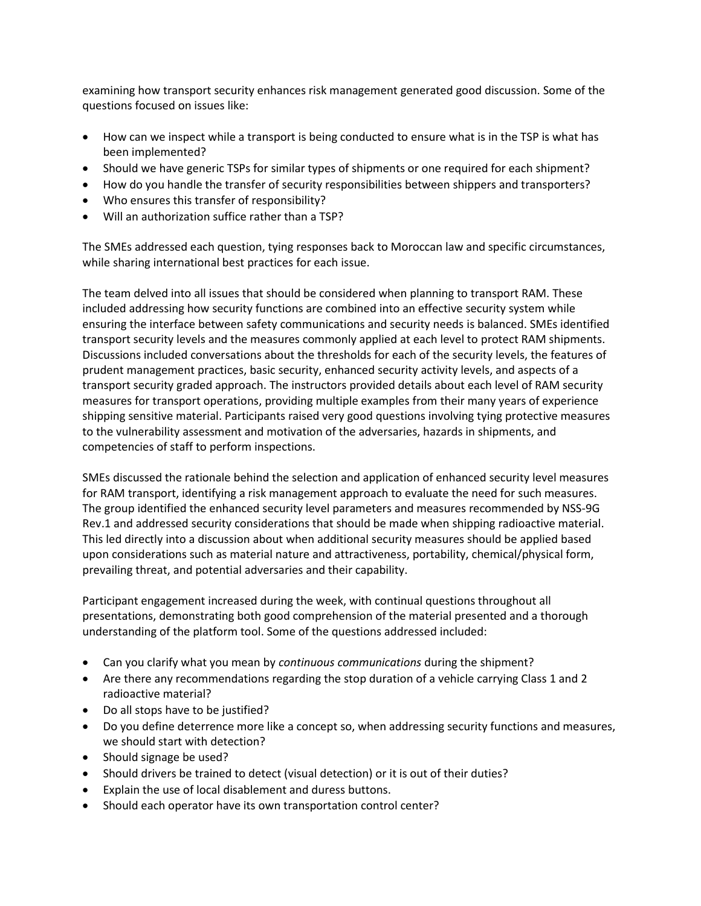examining how transport security enhances risk management generated good discussion. Some of the questions focused on issues like:

- How can we inspect while a transport is being conducted to ensure what is in the TSP is what has been implemented?
- Should we have generic TSPs for similar types of shipments or one required for each shipment?
- How do you handle the transfer of security responsibilities between shippers and transporters?
- Who ensures this transfer of responsibility?
- Will an authorization suffice rather than a TSP?

The SMEs addressed each question, tying responses back to Moroccan law and specific circumstances, while sharing international best practices for each issue.

The team delved into all issues that should be considered when planning to transport RAM. These included addressing how security functions are combined into an effective security system while ensuring the interface between safety communications and security needs is balanced. SMEs identified transport security levels and the measures commonly applied at each level to protect RAM shipments. Discussions included conversations about the thresholds for each of the security levels, the features of prudent management practices, basic security, enhanced security activity levels, and aspects of a transport security graded approach. The instructors provided details about each level of RAM security measures for transport operations, providing multiple examples from their many years of experience shipping sensitive material. Participants raised very good questions involving tying protective measures to the vulnerability assessment and motivation of the adversaries, hazards in shipments, and competencies of staff to perform inspections.

SMEs discussed the rationale behind the selection and application of enhanced security level measures for RAM transport, identifying a risk management approach to evaluate the need for such measures. The group identified the enhanced security level parameters and measures recommended by NSS-9G Rev.1 and addressed security considerations that should be made when shipping radioactive material. This led directly into a discussion about when additional security measures should be applied based upon considerations such as material nature and attractiveness, portability, chemical/physical form, prevailing threat, and potential adversaries and their capability.

Participant engagement increased during the week, with continual questions throughout all presentations, demonstrating both good comprehension of the material presented and a thorough understanding of the platform tool. Some of the questions addressed included:

- Can you clarify what you mean by *continuous communications* during the shipment?
- Are there any recommendations regarding the stop duration of a vehicle carrying Class 1 and 2 radioactive material?
- Do all stops have to be justified?
- Do you define deterrence more like a concept so, when addressing security functions and measures, we should start with detection?
- Should signage be used?
- Should drivers be trained to detect (visual detection) or it is out of their duties?
- Explain the use of local disablement and duress buttons.
- Should each operator have its own transportation control center?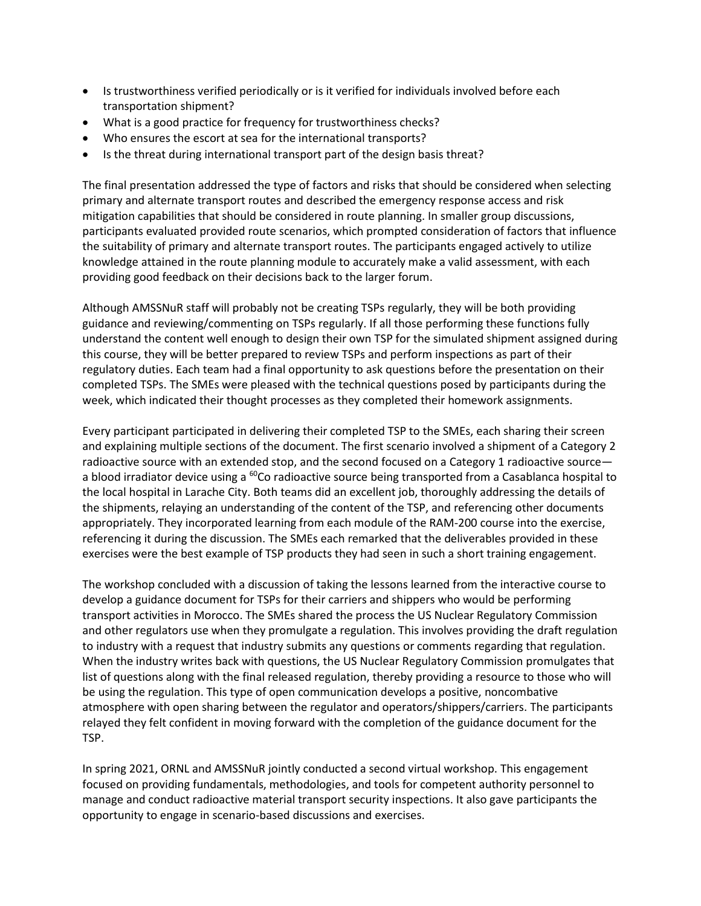- Is trustworthiness verified periodically or is it verified for individuals involved before each transportation shipment?
- What is a good practice for frequency for trustworthiness checks?
- Who ensures the escort at sea for the international transports?
- Is the threat during international transport part of the design basis threat?

The final presentation addressed the type of factors and risks that should be considered when selecting primary and alternate transport routes and described the emergency response access and risk mitigation capabilities that should be considered in route planning. In smaller group discussions, participants evaluated provided route scenarios, which prompted consideration of factors that influence the suitability of primary and alternate transport routes. The participants engaged actively to utilize knowledge attained in the route planning module to accurately make a valid assessment, with each providing good feedback on their decisions back to the larger forum.

Although AMSSNuR staff will probably not be creating TSPs regularly, they will be both providing guidance and reviewing/commenting on TSPs regularly. If all those performing these functions fully understand the content well enough to design their own TSP for the simulated shipment assigned during this course, they will be better prepared to review TSPs and perform inspections as part of their regulatory duties. Each team had a final opportunity to ask questions before the presentation on their completed TSPs. The SMEs were pleased with the technical questions posed by participants during the week, which indicated their thought processes as they completed their homework assignments.

Every participant participated in delivering their completed TSP to the SMEs, each sharing their screen and explaining multiple sections of the document. The first scenario involved a shipment of a Category 2 radioactive source with an extended stop, and the second focused on a Category 1 radioactive source a blood irradiator device using a <sup>60</sup>Co radioactive source being transported from a Casablanca hospital to the local hospital in Larache City. Both teams did an excellent job, thoroughly addressing the details of the shipments, relaying an understanding of the content of the TSP, and referencing other documents appropriately. They incorporated learning from each module of the RAM-200 course into the exercise, referencing it during the discussion. The SMEs each remarked that the deliverables provided in these exercises were the best example of TSP products they had seen in such a short training engagement.

The workshop concluded with a discussion of taking the lessons learned from the interactive course to develop a guidance document for TSPs for their carriers and shippers who would be performing transport activities in Morocco. The SMEs shared the process the US Nuclear Regulatory Commission and other regulators use when they promulgate a regulation. This involves providing the draft regulation to industry with a request that industry submits any questions or comments regarding that regulation. When the industry writes back with questions, the US Nuclear Regulatory Commission promulgates that list of questions along with the final released regulation, thereby providing a resource to those who will be using the regulation. This type of open communication develops a positive, noncombative atmosphere with open sharing between the regulator and operators/shippers/carriers. The participants relayed they felt confident in moving forward with the completion of the guidance document for the TSP.

In spring 2021, ORNL and AMSSNuR jointly conducted a second virtual workshop. This engagement focused on providing fundamentals, methodologies, and tools for competent authority personnel to manage and conduct radioactive material transport security inspections. It also gave participants the opportunity to engage in scenario-based discussions and exercises.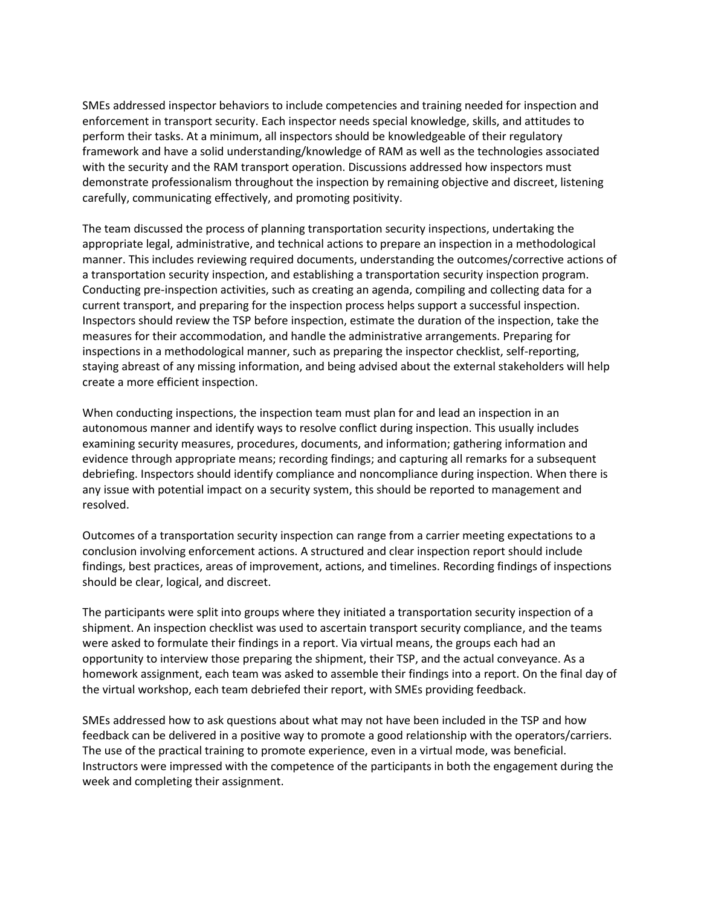SMEs addressed inspector behaviors to include competencies and training needed for inspection and enforcement in transport security. Each inspector needs special knowledge, skills, and attitudes to perform their tasks. At a minimum, all inspectors should be knowledgeable of their regulatory framework and have a solid understanding/knowledge of RAM as well as the technologies associated with the security and the RAM transport operation. Discussions addressed how inspectors must demonstrate professionalism throughout the inspection by remaining objective and discreet, listening carefully, communicating effectively, and promoting positivity.

The team discussed the process of planning transportation security inspections, undertaking the appropriate legal, administrative, and technical actions to prepare an inspection in a methodological manner. This includes reviewing required documents, understanding the outcomes/corrective actions of a transportation security inspection, and establishing a transportation security inspection program. Conducting pre-inspection activities, such as creating an agenda, compiling and collecting data for a current transport, and preparing for the inspection process helps support a successful inspection. Inspectors should review the TSP before inspection, estimate the duration of the inspection, take the measures for their accommodation, and handle the administrative arrangements. Preparing for inspections in a methodological manner, such as preparing the inspector checklist, self-reporting, staying abreast of any missing information, and being advised about the external stakeholders will help create a more efficient inspection.

When conducting inspections, the inspection team must plan for and lead an inspection in an autonomous manner and identify ways to resolve conflict during inspection. This usually includes examining security measures, procedures, documents, and information; gathering information and evidence through appropriate means; recording findings; and capturing all remarks for a subsequent debriefing. Inspectors should identify compliance and noncompliance during inspection. When there is any issue with potential impact on a security system, this should be reported to management and resolved.

Outcomes of a transportation security inspection can range from a carrier meeting expectations to a conclusion involving enforcement actions. A structured and clear inspection report should include findings, best practices, areas of improvement, actions, and timelines. Recording findings of inspections should be clear, logical, and discreet.

The participants were split into groups where they initiated a transportation security inspection of a shipment. An inspection checklist was used to ascertain transport security compliance, and the teams were asked to formulate their findings in a report. Via virtual means, the groups each had an opportunity to interview those preparing the shipment, their TSP, and the actual conveyance. As a homework assignment, each team was asked to assemble their findings into a report. On the final day of the virtual workshop, each team debriefed their report, with SMEs providing feedback.

SMEs addressed how to ask questions about what may not have been included in the TSP and how feedback can be delivered in a positive way to promote a good relationship with the operators/carriers. The use of the practical training to promote experience, even in a virtual mode, was beneficial. Instructors were impressed with the competence of the participants in both the engagement during the week and completing their assignment.